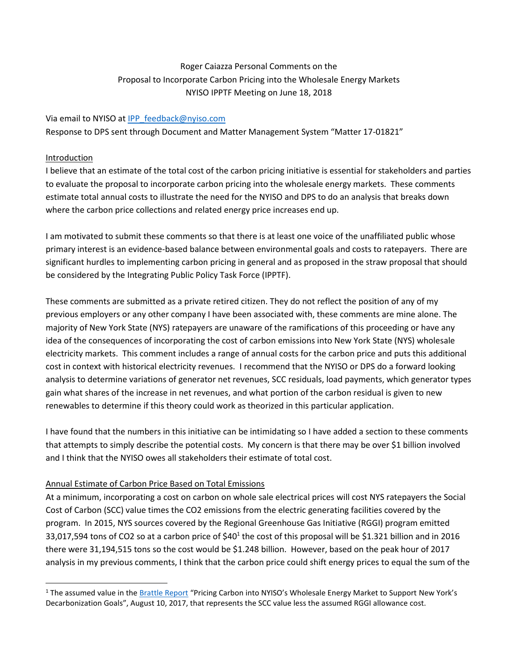# Roger Caiazza Personal Comments on the Proposal to Incorporate Carbon Pricing into the Wholesale Energy Markets NYISO IPPTF Meeting on June 18, 2018

### Via email to NYISO at [IPP\\_feedback@nyiso.com](mailto:IPP_feedback@nyiso.com)

Response to DPS sent through Document and Matter Management System "Matter 17-01821"

#### Introduction

l

I believe that an estimate of the total cost of the carbon pricing initiative is essential for stakeholders and parties to evaluate the proposal to incorporate carbon pricing into the wholesale energy markets. These comments estimate total annual costs to illustrate the need for the NYISO and DPS to do an analysis that breaks down where the carbon price collections and related energy price increases end up.

I am motivated to submit these comments so that there is at least one voice of the unaffiliated public whose primary interest is an evidence-based balance between environmental goals and costs to ratepayers. There are significant hurdles to implementing carbon pricing in general and as proposed in the straw proposal that should be considered by the Integrating Public Policy Task Force (IPPTF).

These comments are submitted as a private retired citizen. They do not reflect the position of any of my previous employers or any other company I have been associated with, these comments are mine alone. The majority of New York State (NYS) ratepayers are unaware of the ramifications of this proceeding or have any idea of the consequences of incorporating the cost of carbon emissions into New York State (NYS) wholesale electricity markets. This comment includes a range of annual costs for the carbon price and puts this additional cost in context with historical electricity revenues. I recommend that the NYISO or DPS do a forward looking analysis to determine variations of generator net revenues, SCC residuals, load payments, which generator types gain what shares of the increase in net revenues, and what portion of the carbon residual is given to new renewables to determine if this theory could work as theorized in this particular application.

I have found that the numbers in this initiative can be intimidating so I have added a section to these comments that attempts to simply describe the potential costs. My concern is that there may be over \$1 billion involved and I think that the NYISO owes all stakeholders their estimate of total cost.

### Annual Estimate of Carbon Price Based on Total Emissions

At a minimum, incorporating a cost on carbon on whole sale electrical prices will cost NYS ratepayers the Social Cost of Carbon (SCC) value times the CO2 emissions from the electric generating facilities covered by the program. In 2015, NYS sources covered by the Regional Greenhouse Gas Initiative (RGGI) program emitted 33,017,594 tons of CO2 so at a carbon price of \$40<sup>1</sup> the cost of this proposal will be \$1.321 billion and in 2016 there were 31,194,515 tons so the cost would be \$1.248 billion. However, based on the peak hour of 2017 analysis in my previous comments, I think that the carbon price could shift energy prices to equal the sum of the

<sup>&</sup>lt;sup>1</sup> The assumed value in the [Brattle Report](http://www.nyiso.com/public/webdocs/markets_operations/documents/Studies_and_Reports/Studies/Market_Studies/Pricing_Carbon_into_NYISOs_Wholesale_Energy_Market.pdf) "Pricing Carbon into NYISO's Wholesale Energy Market to Support New York's Decarbonization Goals", August 10, 2017, that represents the SCC value less the assumed RGGI allowance cost.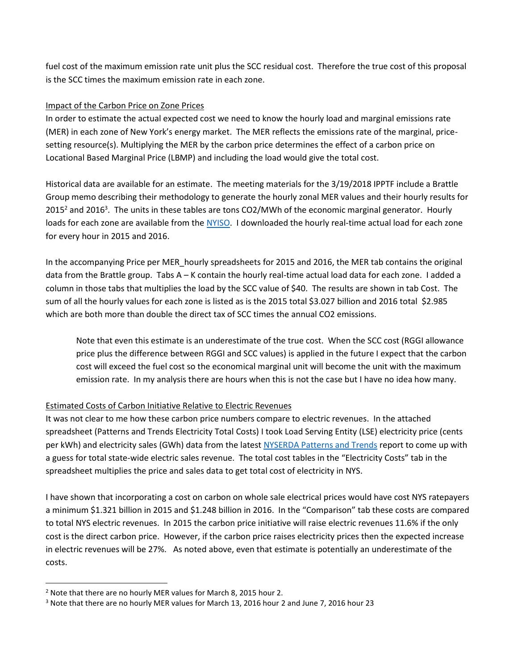fuel cost of the maximum emission rate unit plus the SCC residual cost. Therefore the true cost of this proposal is the SCC times the maximum emission rate in each zone.

### Impact of the Carbon Price on Zone Prices

In order to estimate the actual expected cost we need to know the hourly load and marginal emissions rate (MER) in each zone of New York's energy market. The MER reflects the emissions rate of the marginal, pricesetting resource(s). Multiplying the MER by the carbon price determines the effect of a carbon price on Locational Based Marginal Price (LBMP) and including the load would give the total cost.

Historical data are available for an estimate. The meeting materials for the 3/19/2018 IPPTF include a Brattle Group memo describing their methodology to generate the hourly zonal MER values and their hourly results for 2015<sup>2</sup> and 2016<sup>3</sup>. The units in these tables are tons CO2/MWh of the economic marginal generator. Hourly loads for each zone are available from the [NYISO.](http://www.nyiso.com/public/markets_operations/market_data/load_data/index.jsp) I downloaded the hourly real-time actual load for each zone for every hour in 2015 and 2016.

In the accompanying Price per MER hourly spreadsheets for 2015 and 2016, the MER tab contains the original data from the Brattle group. Tabs A – K contain the hourly real-time actual load data for each zone. I added a column in those tabs that multiplies the load by the SCC value of \$40. The results are shown in tab Cost. The sum of all the hourly values for each zone is listed as is the 2015 total \$3.027 billion and 2016 total \$2.985 which are both more than double the direct tax of SCC times the annual CO2 emissions.

Note that even this estimate is an underestimate of the true cost. When the SCC cost (RGGI allowance price plus the difference between RGGI and SCC values) is applied in the future I expect that the carbon cost will exceed the fuel cost so the economical marginal unit will become the unit with the maximum emission rate. In my analysis there are hours when this is not the case but I have no idea how many.

### Estimated Costs of Carbon Initiative Relative to Electric Revenues

It was not clear to me how these carbon price numbers compare to electric revenues. In the attached spreadsheet (Patterns and Trends Electricity Total Costs) I took Load Serving Entity (LSE) electricity price (cents per kWh) and electricity sales (GWh) data from the lates[t NYSERDA Patterns and Trends](https://www.nyserda.ny.gov/About/Publications/EA-Reports-and-Studies/Patterns-and-Trends) report to come up with a guess for total state-wide electric sales revenue. The total cost tables in the "Electricity Costs" tab in the spreadsheet multiplies the price and sales data to get total cost of electricity in NYS.

I have shown that incorporating a cost on carbon on whole sale electrical prices would have cost NYS ratepayers a minimum \$1.321 billion in 2015 and \$1.248 billion in 2016. In the "Comparison" tab these costs are compared to total NYS electric revenues. In 2015 the carbon price initiative will raise electric revenues 11.6% if the only cost is the direct carbon price. However, if the carbon price raises electricity prices then the expected increase in electric revenues will be 27%. As noted above, even that estimate is potentially an underestimate of the costs.

l

 $2$  Note that there are no hourly MER values for March 8, 2015 hour 2.

<sup>3</sup> Note that there are no hourly MER values for March 13, 2016 hour 2 and June 7, 2016 hour 23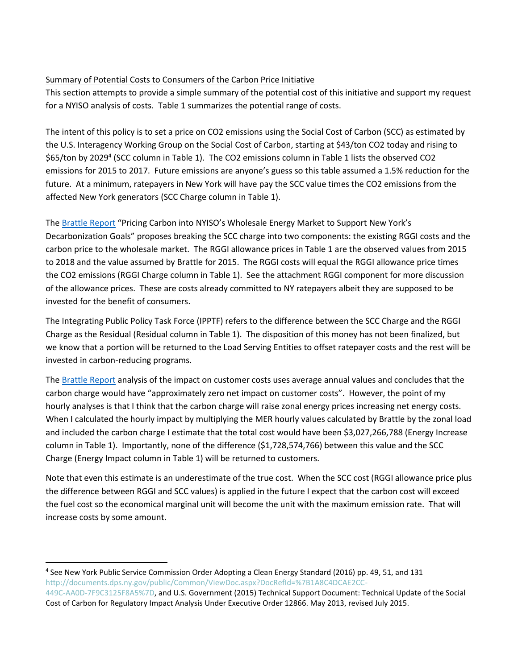## Summary of Potential Costs to Consumers of the Carbon Price Initiative

This section attempts to provide a simple summary of the potential cost of this initiative and support my request for a NYISO analysis of costs. Table 1 summarizes the potential range of costs.

The intent of this policy is to set a price on CO2 emissions using the Social Cost of Carbon (SCC) as estimated by the U.S. Interagency Working Group on the Social Cost of Carbon, starting at \$43/ton CO2 today and rising to \$65/ton by 2029<sup>4</sup> (SCC column in Table 1). The CO2 emissions column in Table 1 lists the observed CO2 emissions for 2015 to 2017. Future emissions are anyone's guess so this table assumed a 1.5% reduction for the future. At a minimum, ratepayers in New York will have pay the SCC value times the CO2 emissions from the affected New York generators (SCC Charge column in Table 1).

The [Brattle Report](http://www.nyiso.com/public/webdocs/markets_operations/documents/Studies_and_Reports/Studies/Market_Studies/Pricing_Carbon_into_NYISOs_Wholesale_Energy_Market.pdf) "Pricing Carbon into NYISO's Wholesale Energy Market to Support New York's Decarbonization Goals" proposes breaking the SCC charge into two components: the existing RGGI costs and the carbon price to the wholesale market. The RGGI allowance prices in Table 1 are the observed values from 2015 to 2018 and the value assumed by Brattle for 2015. The RGGI costs will equal the RGGI allowance price times the CO2 emissions (RGGI Charge column in Table 1). See the attachment RGGI component for more discussion of the allowance prices. These are costs already committed to NY ratepayers albeit they are supposed to be invested for the benefit of consumers.

The Integrating Public Policy Task Force (IPPTF) refers to the difference between the SCC Charge and the RGGI Charge as the Residual (Residual column in Table 1). The disposition of this money has not been finalized, but we know that a portion will be returned to the Load Serving Entities to offset ratepayer costs and the rest will be invested in carbon-reducing programs.

The [Brattle Report](http://www.nyiso.com/public/webdocs/markets_operations/documents/Studies_and_Reports/Studies/Market_Studies/Pricing_Carbon_into_NYISOs_Wholesale_Energy_Market.pdf) analysis of the impact on customer costs uses average annual values and concludes that the carbon charge would have "approximately zero net impact on customer costs". However, the point of my hourly analyses is that I think that the carbon charge will raise zonal energy prices increasing net energy costs. When I calculated the hourly impact by multiplying the MER hourly values calculated by Brattle by the zonal load and included the carbon charge I estimate that the total cost would have been \$3,027,266,788 (Energy Increase column in Table 1). Importantly, none of the difference (\$1,728,574,766) between this value and the SCC Charge (Energy Impact column in Table 1) will be returned to customers.

Note that even this estimate is an underestimate of the true cost. When the SCC cost (RGGI allowance price plus the difference between RGGI and SCC values) is applied in the future I expect that the carbon cost will exceed the fuel cost so the economical marginal unit will become the unit with the maximum emission rate. That will increase costs by some amount.

 $\overline{a}$ 

<sup>4</sup> See New York Public Service Commission Order Adopting a Clean Energy Standard (2016) pp. 49, 51, and 131 http://documents.dps.ny.gov/public/Common/ViewDoc.aspx?DocRefId=%7B1A8C4DCAE2CC-449C-AA0D-7F9C3125F8A5%7D, and U.S. Government (2015) Technical Support Document: Technical Update of the Social

Cost of Carbon for Regulatory Impact Analysis Under Executive Order 12866. May 2013, revised July 2015.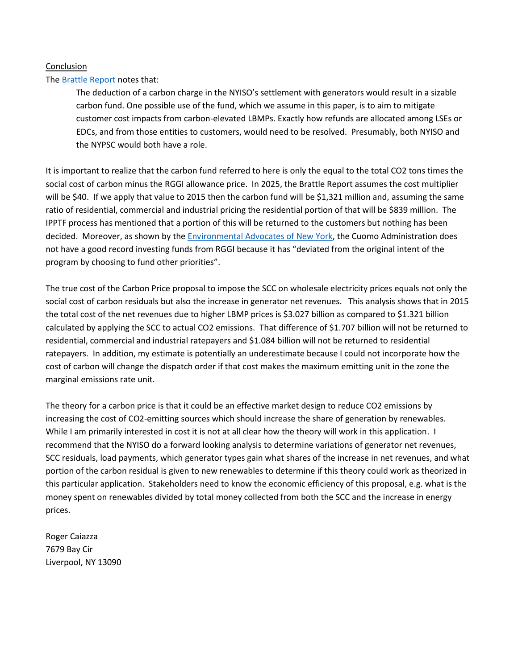### Conclusion

### The [Brattle Report](http://www.nyiso.com/public/webdocs/markets_operations/documents/Studies_and_Reports/Studies/Market_Studies/Pricing_Carbon_into_NYISOs_Wholesale_Energy_Market.pdf) notes that:

The deduction of a carbon charge in the NYISO's settlement with generators would result in a sizable carbon fund. One possible use of the fund, which we assume in this paper, is to aim to mitigate customer cost impacts from carbon-elevated LBMPs. Exactly how refunds are allocated among LSEs or EDCs, and from those entities to customers, would need to be resolved. Presumably, both NYISO and the NYPSC would both have a role.

It is important to realize that the carbon fund referred to here is only the equal to the total CO2 tons times the social cost of carbon minus the RGGI allowance price. In 2025, the Brattle Report assumes the cost multiplier will be \$40. If we apply that value to 2015 then the carbon fund will be \$1,321 million and, assuming the same ratio of residential, commercial and industrial pricing the residential portion of that will be \$839 million. The IPPTF process has mentioned that a portion of this will be returned to the customers but nothing has been decided. Moreover, as shown by the [Environmental Advocates of New York,](https://www.eany.org/our-work/press-release/eany-report-finds-questionable-spending-climate-funds) the Cuomo Administration does not have a good record investing funds from RGGI because it has "deviated from the original intent of the program by choosing to fund other priorities".

The true cost of the Carbon Price proposal to impose the SCC on wholesale electricity prices equals not only the social cost of carbon residuals but also the increase in generator net revenues. This analysis shows that in 2015 the total cost of the net revenues due to higher LBMP prices is \$3.027 billion as compared to \$1.321 billion calculated by applying the SCC to actual CO2 emissions. That difference of \$1.707 billion will not be returned to residential, commercial and industrial ratepayers and \$1.084 billion will not be returned to residential ratepayers. In addition, my estimate is potentially an underestimate because I could not incorporate how the cost of carbon will change the dispatch order if that cost makes the maximum emitting unit in the zone the marginal emissions rate unit.

The theory for a carbon price is that it could be an effective market design to reduce CO2 emissions by increasing the cost of CO2-emitting sources which should increase the share of generation by renewables. While I am primarily interested in cost it is not at all clear how the theory will work in this application. I recommend that the NYISO do a forward looking analysis to determine variations of generator net revenues, SCC residuals, load payments, which generator types gain what shares of the increase in net revenues, and what portion of the carbon residual is given to new renewables to determine if this theory could work as theorized in this particular application. Stakeholders need to know the economic efficiency of this proposal, e.g. what is the money spent on renewables divided by total money collected from both the SCC and the increase in energy prices.

Roger Caiazza 7679 Bay Cir Liverpool, NY 13090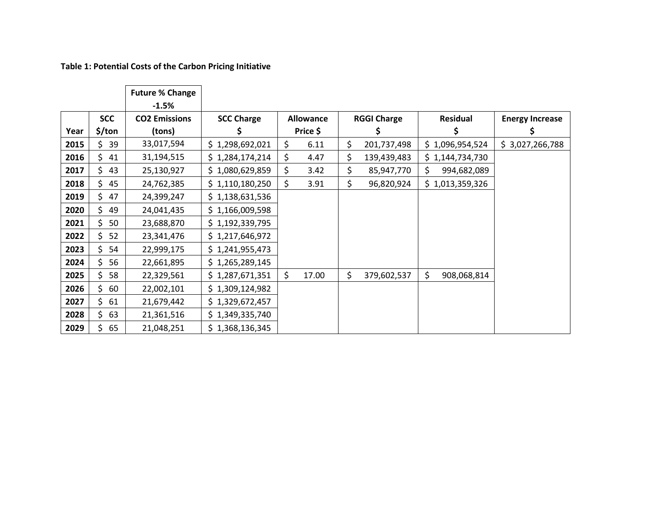**Table 1: Potential Costs of the Carbon Pricing Initiative**

|      |            | <b>Future % Change</b><br>$-1.5%$ |                   |                  |       |                    |             |    |                 |                        |
|------|------------|-----------------------------------|-------------------|------------------|-------|--------------------|-------------|----|-----------------|------------------------|
|      | <b>SCC</b> | <b>CO2 Emissions</b>              | <b>SCC Charge</b> | <b>Allowance</b> |       | <b>RGGI Charge</b> |             |    | <b>Residual</b> | <b>Energy Increase</b> |
| Year | \$/ton     | (tons)                            | S                 | Price \$         |       | Ş                  |             | Ş  |                 |                        |
| 2015 | \$.<br>39  | 33,017,594                        | \$1,298,692,021   | \$               | 6.11  | \$                 | 201,737,498 |    | \$1,096,954,524 | \$3,027,266,788        |
| 2016 | \$.<br>41  | 31,194,515                        | \$1,284,174,214   | \$               | 4.47  | \$                 | 139,439,483 |    | \$1,144,734,730 |                        |
| 2017 | \$.<br>43  | 25,130,927                        | \$1,080,629,859   | \$               | 3.42  | \$                 | 85,947,770  | \$ | 994,682,089     |                        |
| 2018 | \$.<br>45  | 24,762,385                        | \$1,110,180,250   | \$               | 3.91  | \$                 | 96,820,924  |    | \$1,013,359,326 |                        |
| 2019 | 47<br>\$.  | 24,399,247                        | \$1,138,631,536   |                  |       |                    |             |    |                 |                        |
| 2020 | \$.<br>49  | 24,041,435                        | \$1,166,009,598   |                  |       |                    |             |    |                 |                        |
| 2021 | \$<br>50   | 23,688,870                        | \$1,192,339,795   |                  |       |                    |             |    |                 |                        |
| 2022 | \$.<br>52  | 23,341,476                        | \$1,217,646,972   |                  |       |                    |             |    |                 |                        |
| 2023 | \$.<br>54  | 22,999,175                        | \$1,241,955,473   |                  |       |                    |             |    |                 |                        |
| 2024 | \$.<br>56  | 22,661,895                        | \$1,265,289,145   |                  |       |                    |             |    |                 |                        |
| 2025 | \$<br>58   | 22,329,561                        | \$1,287,671,351   | \$               | 17.00 | \$                 | 379,602,537 | \$ | 908,068,814     |                        |
| 2026 | \$.<br>60  | 22,002,101                        | \$1,309,124,982   |                  |       |                    |             |    |                 |                        |
| 2027 | \$.<br>61  | 21,679,442                        | \$1,329,672,457   |                  |       |                    |             |    |                 |                        |
| 2028 | \$<br>63   | 21,361,516                        | \$1,349,335,740   |                  |       |                    |             |    |                 |                        |
| 2029 | \$<br>65   | 21,048,251                        | \$1,368,136,345   |                  |       |                    |             |    |                 |                        |